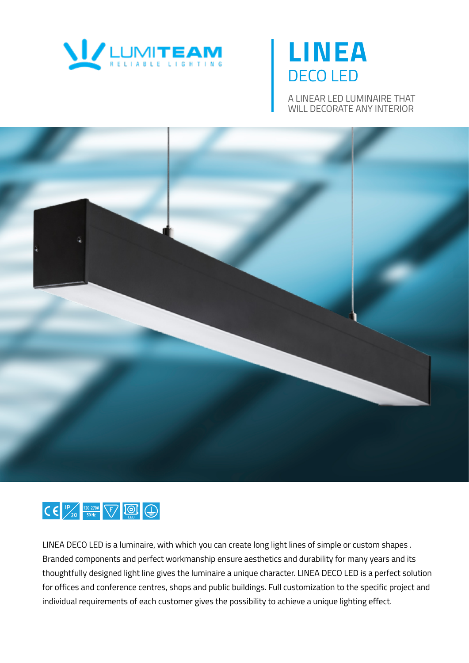

# **LINEA** DECO LED

A LINEAR LED LUMINAIRE THAT WILL DECORATE ANY INTERIOR





LINEA DECO LED is a luminaire, with which you can create long light lines of simple or custom shapes . Branded components and perfect workmanship ensure aesthetics and durability for many years and its thoughtfully designed light line gives the luminaire a unique character. LINEA DECO LED is a perfect solution for offices and conference centres, shops and public buildings. Full customization to the specific project and individual requirements of each customer gives the possibility to achieve a unique lighting effect.